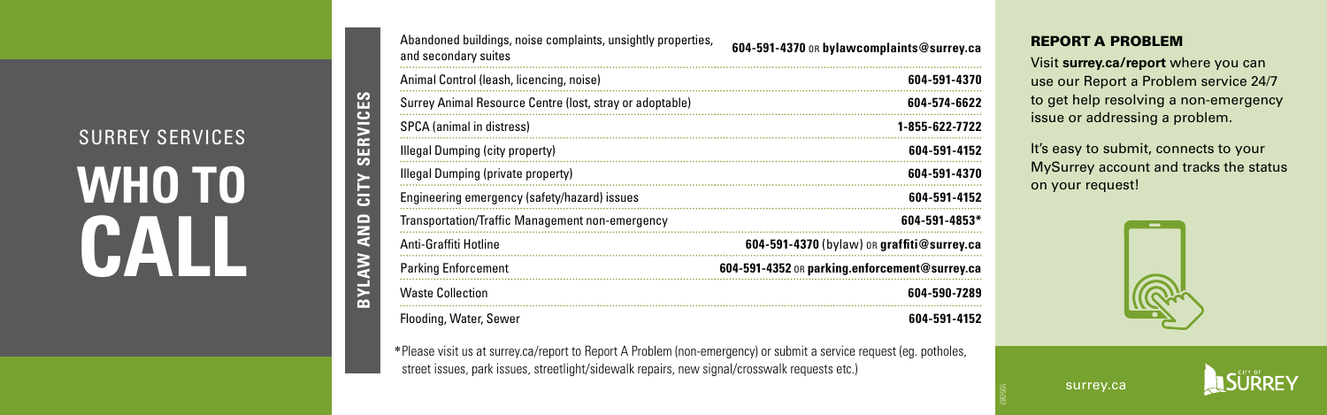SURREY SERVICES **WHO TO CALL** 

**BYLAW AND CITY SERVICES**

BYLAW AND CITY SERVICES

| Abandoned buildings, noise complaints, unsightly properties,<br>and secondary suites | 604-591-4370 OR bylawcomplaints@surrey.ca     |
|--------------------------------------------------------------------------------------|-----------------------------------------------|
| Animal Control (leash, licencing, noise)                                             | 604-591-4370                                  |
| Surrey Animal Resource Centre (lost, stray or adoptable)                             | 604-574-6622                                  |
| SPCA (animal in distress)                                                            | 1-855-622-7722                                |
| Illegal Dumping (city property)                                                      | 604-591-4152                                  |
| Illegal Dumping (private property)                                                   | 604-591-4370                                  |
| Engineering emergency (safety/hazard) issues                                         | 604-591-4152                                  |
| Transportation/Traffic Management non-emergency                                      | $604 - 591 - 4853*$                           |
| Anti-Graffiti Hotline                                                                | 604-591-4370 (bylaw) or graffiti@surrey.ca    |
| <b>Parking Enforcement</b>                                                           | 604-591-4352 OR parking.enforcement@surrey.ca |
| <b>Waste Collection</b>                                                              | 604-590-7289                                  |
| Flooding, Water, Sewer                                                               | 604-591-4152                                  |

\*Please visit us at surrey.ca/report to Report A Problem (non-emergency) or submit a service request (eg. potholes, street issues, park issues, streetlight/sidewalk repairs, new signal/crosswalk requests etc.)

### REPORT A PROBLEM

Visit **surrey.ca/report** where you can use our Report a Problem service 24/7 to get help resolving a non-emergency issue or addressing a problem.

It's easy to submit, connects to your MySurrey account and tracks the status on your request!



surrey.ca

105087